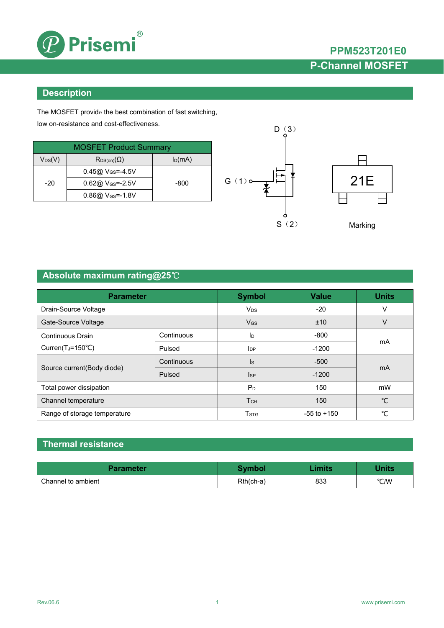

# **PPM523T201E0 P-Channel MOSFET**

### **Description**

The MOSFET provide the best combination of fast switching, low on-resistance and cost-effectiveness.

| <b>MOSFET Product Summary</b>          |                                |           |  |  |
|----------------------------------------|--------------------------------|-----------|--|--|
| $\mathsf{V}_{\mathsf{DS}}(\mathsf{V})$ | $R_{DS(on)}(\Omega)$           | $I_D(mA)$ |  |  |
|                                        | $0.45@V_{GS} = -4.5V$          |           |  |  |
| $-20$                                  | $0.62@$ V <sub>GS</sub> =-2.5V | -800      |  |  |
|                                        | $0.86@V_{GS} = -1.8V$          |           |  |  |





Marking

# **Absolute maximum rating@25**℃

| <b>Parameter</b>               | <b>Symbol</b>           | <b>Value</b>           | <b>Units</b> |                |  |
|--------------------------------|-------------------------|------------------------|--------------|----------------|--|
| Drain-Source Voltage           |                         | $V_{DS}$               | $-20$        | v              |  |
| Gate-Source Voltage            |                         | $V_{GS}$               | ±10          | V              |  |
| Continuous Drain               | Continuous              | ID                     | $-800$       | mA             |  |
| Curren( $T_J = 150^{\circ}C$ ) | Pulsed                  | <b>I</b> <sub>DP</sub> | $-1200$      |                |  |
|                                | Continuous              | $\mathsf{ls}$          | $-500$       | m <sub>A</sub> |  |
| Source current(Body diode)     | Pulsed                  | <b>I</b> SP            | $-1200$      |                |  |
| Total power dissipation        | $P_D$                   | 150                    | mW           |                |  |
| Channel temperature            |                         | T <sub>CH</sub>        | 150          | $^{\circ}$ C   |  |
| Range of storage temperature   | <b>T</b> <sub>STG</sub> | $-55$ to $+150$        | °C           |                |  |

### **Thermal resistance**

| <b>Parameter</b>   | Svmbol    | imits | <b>Vnits</b> |
|--------------------|-----------|-------|--------------|
| Channel to ambient | Rth(ch-a) | 833   | °C/W         |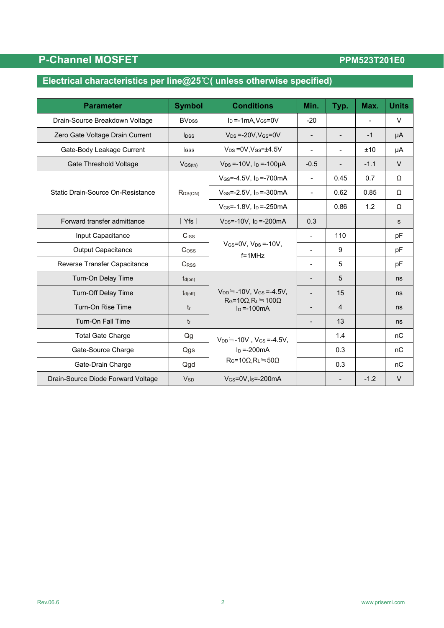# **P-Channel MOSFET**

## PPM523T201E0

# **Electrical characteristics per line@25**℃**( unless otherwise specified)**

| <b>Parameter</b>                   | <b>Symbol</b>           | <b>Conditions</b>                                                                          | Min.                     | Typ.                     | Max.   | <b>Units</b> |
|------------------------------------|-------------------------|--------------------------------------------------------------------------------------------|--------------------------|--------------------------|--------|--------------|
| Drain-Source Breakdown Voltage     | <b>BV<sub>DSS</sub></b> | $I_D = -1mA.V$ $Gs = 0V$                                                                   | $-20$                    |                          |        | $\vee$       |
| Zero Gate Voltage Drain Current    | $I_{\text{DSS}}$        | $V_{DS} = -20V$ , $V_{GS} = 0V$                                                            | $\overline{\phantom{0}}$ | $\blacksquare$           | $-1$   | μA           |
| Gate-Body Leakage Current          | <b>I</b> GSS            | $V_{DS} = 0V$ , $V_{GS} = \pm 4.5V$                                                        |                          |                          | ±10    | μA           |
| Gate Threshold Voltage             | $V$ <sub>GS(th)</sub>   | $V_{DS} = -10V$ , $I_D = -100\mu A$                                                        | $-0.5$                   | $\overline{\phantom{a}}$ | $-1.1$ | $\vee$       |
|                                    | $R_{DS(ON)}$            | $V_{GS} = -4.5V$ , $I_D = -700mA$                                                          | $\blacksquare$           | 0.45                     | 0.7    | Ω            |
| Static Drain-Source On-Resistance  |                         | $V_{GS} = -2.5V$ , $I_D = -300mA$                                                          | $\blacksquare$           | 0.62                     | 0.85   | Ω            |
|                                    |                         | V <sub>GS</sub> =-1.8V, l <sub>D</sub> =-250mA                                             |                          | 0.86                     | 1.2    | Ω            |
| Forward transfer admittance        | Yfs                     | $V_{DS} = -10V$ , $I_D = -200mA$                                                           | 0.3                      |                          |        | $\mathsf{s}$ |
| Input Capacitance                  | Ciss                    |                                                                                            | $\overline{\phantom{0}}$ | 110                      |        | pF           |
| <b>Output Capacitance</b>          | Coss                    | $V_{GS}$ =0V. $V_{DS}$ =-10V.<br>$f = 1MHz$                                                | $\blacksquare$           | 9                        |        | pF           |
| Reverse Transfer Capacitance       | C <sub>RSS</sub>        |                                                                                            | $\overline{\phantom{a}}$ | 5                        |        | pF           |
| Turn-On Delay Time                 | $t_{d(on)}$             |                                                                                            |                          | 5                        |        | ns           |
| <b>Turn-Off Delay Time</b>         | $t_{d(off)}$            | $V_{DD} = -10V$ , $V_{GS} = -4.5V$ ,<br>$R_G = 10\Omega, R_L = 100\Omega$<br>$\ln$ =-100mA |                          | 15                       |        | ns           |
| Turn-On Rise Time                  | $t_{r}$                 |                                                                                            | $\overline{\phantom{0}}$ | 4                        |        | ns           |
| Turn-On Fall Time                  | t                       |                                                                                            | $\overline{\phantom{0}}$ | 13                       |        | ns           |
| <b>Total Gate Charge</b>           | Qg                      | $V_{DD} = -10V$ , $V_{GS} = -4.5V$ ,                                                       |                          | 1.4                      |        | nC           |
| Gate-Source Charge                 | Qgs                     | $I_D = -200mA$                                                                             |                          | 0.3                      |        | nC           |
| Gate-Drain Charge                  | Qgd                     | $R_G=10\Omega, R_L=50\Omega$                                                               |                          | 0.3                      |        | nC           |
| Drain-Source Diode Forward Voltage | <b>V<sub>SD</sub></b>   | $V$ <sub>GS</sub> =0V, I <sub>S</sub> =-200mA                                              |                          |                          | $-1.2$ | $\vee$       |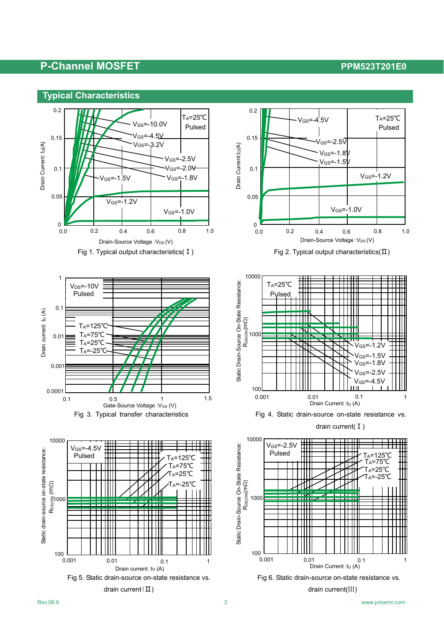### **P-Channel MOSFET P-Channel MOSFET**



















drain current(I)

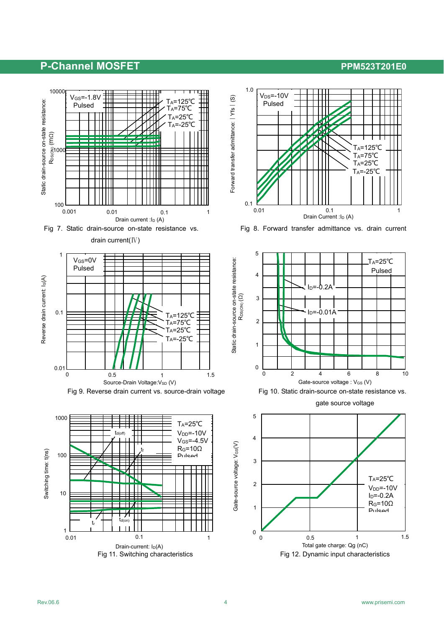## P-Channel MOSFET **PERIODE REPORTS AND PRESISTANCE**









gate source voltage

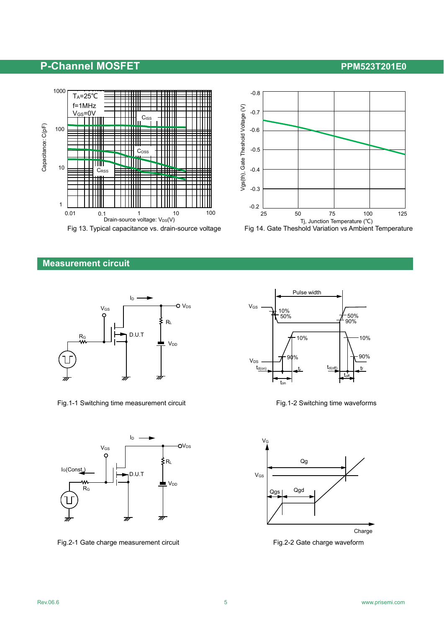## P-Channel MOSFET **PERIODE REPORTS AND ACCEPT ACCOUNT ACCEPT** PPM523T201E0





### **Measurement circuit**



Fig.1-1 Switching time measurement circuit Fig.1-2 Switching time waveforms



Fig.2-1 Gate charge measurement circuit Fig.2-2 Gate charge waveform





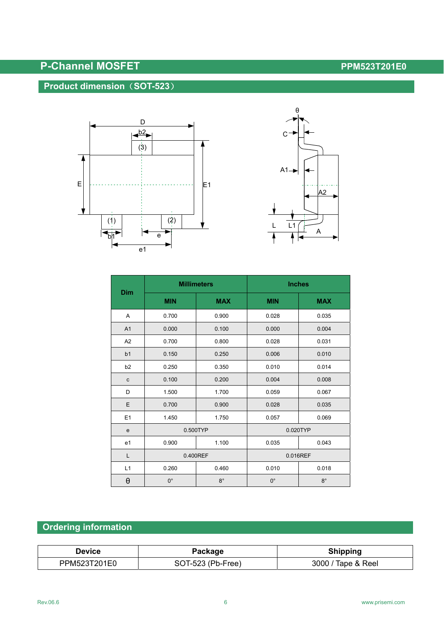# **P-Channel MOSFET P-Channel MOSFET**

## **Product dimension**(**SOT-523**)





|                       | <b>Millimeters</b> |             | <b>Inches</b> |             |  |
|-----------------------|--------------------|-------------|---------------|-------------|--|
| Dim                   | <b>MIN</b>         | <b>MAX</b>  | <b>MIN</b>    | <b>MAX</b>  |  |
| Α                     | 0.700              | 0.900       | 0.028         | 0.035       |  |
| A1                    | 0.000              | 0.100       | 0.000         | 0.004       |  |
| A2                    | 0.700              | 0.800       | 0.028         | 0.031       |  |
| b1                    | 0.150              | 0.250       | 0.006         | 0.010       |  |
| b2                    | 0.250              | 0.350       | 0.010         | 0.014       |  |
| $\mathbf c$           | 0.100              | 0.200       | 0.004         | 0.008       |  |
| D                     | 1.500              | 1.700       | 0.059         | 0.067       |  |
| E                     | 0.700              | 0.900       | 0.028         | 0.035       |  |
| E1                    | 1.450              | 1.750       | 0.057         | 0.069       |  |
| e                     | 0.500TYP           |             |               | 0.020TYP    |  |
| e <sub>1</sub>        | 0.900              | 1.100       | 0.035         | 0.043       |  |
| L                     | 0.400REF           |             | 0.016REF      |             |  |
| L1                    | 0.260              | 0.460       | 0.010         | 0.018       |  |
| $\boldsymbol{\theta}$ | $0^{\circ}$        | $8^{\circ}$ | $0^{\circ}$   | $8^{\circ}$ |  |

## **Ordering information**

| Package<br>Device |                   | <b>Shipping</b>    |
|-------------------|-------------------|--------------------|
| PPM523T201E0      | SOT-523 (Pb-Free) | 3000 / Tape & Reel |